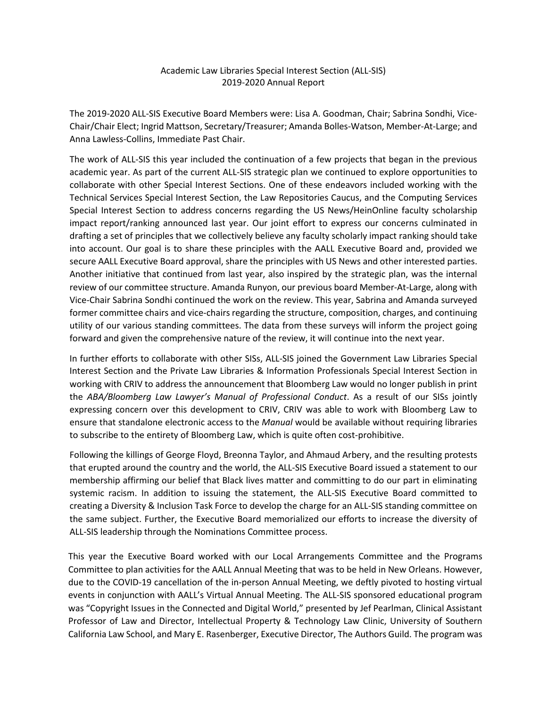## Academic Law Libraries Special Interest Section (ALL-SIS) 2019-2020 Annual Report

The 2019-2020 ALL-SIS Executive Board Members were: Lisa A. Goodman, Chair; Sabrina Sondhi, Vice-Chair/Chair Elect; Ingrid Mattson, Secretary/Treasurer; Amanda Bolles-Watson, Member-At-Large; and Anna Lawless-Collins, Immediate Past Chair.

The work of ALL-SIS this year included the continuation of a few projects that began in the previous academic year. As part of the current ALL-SIS strategic plan we continued to explore opportunities to collaborate with other Special Interest Sections. One of these endeavors included working with the Technical Services Special Interest Section, the Law Repositories Caucus, and the Computing Services Special Interest Section to address concerns regarding the US News/HeinOnline faculty scholarship impact report/ranking announced last year. Our joint effort to express our concerns culminated in drafting a set of principles that we collectively believe any faculty scholarly impact ranking should take into account. Our goal is to share these principles with the AALL Executive Board and, provided we secure AALL Executive Board approval, share the principles with US News and other interested parties. Another initiative that continued from last year, also inspired by the strategic plan, was the internal review of our committee structure. Amanda Runyon, our previous board Member-At-Large, along with Vice-Chair Sabrina Sondhi continued the work on the review. This year, Sabrina and Amanda surveyed former committee chairs and vice-chairs regarding the structure, composition, charges, and continuing utility of our various standing committees. The data from these surveys will inform the project going forward and given the comprehensive nature of the review, it will continue into the next year.

In further efforts to collaborate with other SISs, ALL-SIS joined the Government Law Libraries Special Interest Section and the Private Law Libraries & Information Professionals Special Interest Section in working with CRIV to address the announcement that Bloomberg Law would no longer publish in print the *ABA/Bloomberg Law Lawyer's Manual of Professional Conduct*. As a result of our SISs jointly expressing concern over this development to CRIV, CRIV was able to work with Bloomberg Law to ensure that standalone electronic access to the *Manual* would be available without requiring libraries to subscribe to the entirety of Bloomberg Law, which is quite often cost-prohibitive.

Following the killings of George Floyd, Breonna Taylor, and Ahmaud Arbery, and the resulting protests that erupted around the country and the world, the ALL-SIS Executive Board issued a statement to our membership affirming our belief that Black lives matter and committing to do our part in eliminating systemic racism. In addition to issuing the statement, the ALL-SIS Executive Board committed to creating a Diversity & Inclusion Task Force to develop the charge for an ALL-SIS standing committee on the same subject. Further, the Executive Board memorialized our efforts to increase the diversity of ALL-SIS leadership through the Nominations Committee process.

This year the Executive Board worked with our Local Arrangements Committee and the Programs Committee to plan activities for the AALL Annual Meeting that was to be held in New Orleans. However, due to the COVID-19 cancellation of the in-person Annual Meeting, we deftly pivoted to hosting virtual events in conjunction with AALL's Virtual Annual Meeting. The ALL-SIS sponsored educational program was "Copyright Issues in the Connected and Digital World," presented by Jef Pearlman, Clinical Assistant Professor of Law and Director, Intellectual Property & Technology Law Clinic, University of Southern California Law School, and Mary E. Rasenberger, Executive Director, The Authors Guild. The program was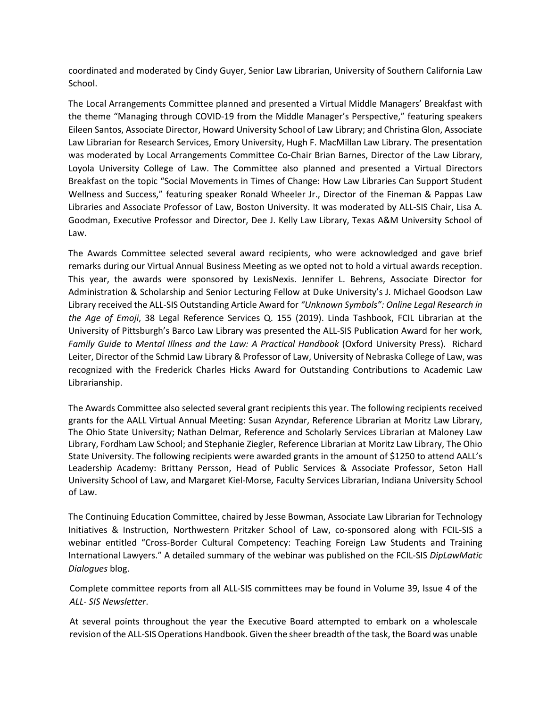coordinated and moderated by Cindy Guyer, Senior Law Librarian, University of Southern California Law School.

The Local Arrangements Committee planned and presented a Virtual Middle Managers' Breakfast with the theme "Managing through COVID-19 from the Middle Manager's Perspective," featuring speakers Eileen Santos, Associate Director, Howard University School of Law Library; and Christina Glon, Associate Law Librarian for Research Services, Emory University, Hugh F. MacMillan Law Library. The presentation was moderated by Local Arrangements Committee Co-Chair Brian Barnes, Director of the Law Library, Loyola University College of Law. The Committee also planned and presented a Virtual Directors Breakfast on the topic "Social Movements in Times of Change: How Law Libraries Can Support Student Wellness and Success," featuring speaker Ronald Wheeler Jr., Director of the Fineman & Pappas Law Libraries and Associate Professor of Law, Boston University. It was moderated by ALL-SIS Chair, Lisa A. Goodman, Executive Professor and Director, Dee J. Kelly Law Library, Texas A&M University School of Law.

The Awards Committee selected several award recipients, who were acknowledged and gave brief remarks during our Virtual Annual Business Meeting as we opted not to hold a virtual awards reception. This year, the awards were sponsored by LexisNexis. Jennifer L. Behrens, Associate Director for Administration & Scholarship and Senior Lecturing Fellow at Duke University's J. Michael Goodson Law Library received the ALL-SIS Outstanding Article Award for *"Unknown Symbols": Online Legal Research in the Age of Emoji*, 38 Legal Reference Services Q. 155 (2019). Linda Tashbook, FCIL Librarian at the University of Pittsburgh's Barco Law Library was presented the ALL-SIS Publication Award for her work, Family Guide to Mental Illness and the Law: A Practical Handbook (Oxford University Press). Richard Leiter, Director of the Schmid Law Library & Professor of Law, University of Nebraska College of Law, was recognized with the Frederick Charles Hicks Award for Outstanding Contributions to Academic Law Librarianship.

The Awards Committee also selected several grant recipients this year. The following recipients received grants for the AALL Virtual Annual Meeting: Susan Azyndar, Reference Librarian at Moritz Law Library, The Ohio State University; Nathan Delmar, Reference and Scholarly Services Librarian at Maloney Law Library, Fordham Law School; and Stephanie Ziegler, Reference Librarian at Moritz Law Library, The Ohio State University. The following recipients were awarded grants in the amount of \$1250 to attend AALL's Leadership Academy: Brittany Persson, Head of Public Services & Associate Professor, Seton Hall University School of Law, and Margaret Kiel-Morse, Faculty Services Librarian, Indiana University School of Law.

The Continuing Education Committee, chaired by Jesse Bowman, Associate Law Librarian for Technology Initiatives & Instruction, Northwestern Pritzker School of Law, co-sponsored along with FCIL-SIS a webinar entitled "Cross-Border Cultural Competency: Teaching Foreign Law Students and Training International Lawyers." A detailed summary of the webinar was published on the FCIL-SIS *DipLawMatic Dialogues* blog.

Complete committee reports from all ALL-SIS committees may be found in Volume 39, Issue 4 of the *ALL- SIS Newsletter*.

At several points throughout the year the Executive Board attempted to embark on a wholescale revision of the ALL-SIS Operations Handbook. Given the sheer breadth of the task, the Board was unable